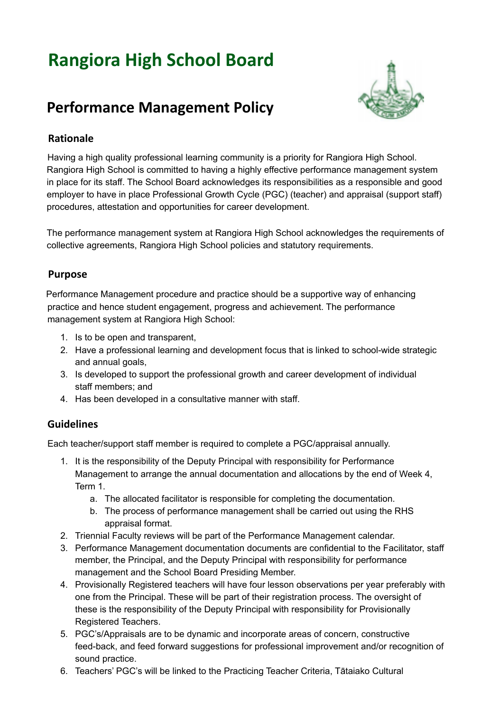# **Rangiora High School Board**



# **Performance Management Policy**

## **Rationale**

Having a high quality professional learning community is a priority for Rangiora High School. Rangiora High School is committed to having a highly effective performance management system in place for its staff. The School Board acknowledges its responsibilities as a responsible and good employer to have in place Professional Growth Cycle (PGC) (teacher) and appraisal (support staff) procedures, attestation and opportunities for career development.

The performance management system at Rangiora High School acknowledges the requirements of collective agreements, Rangiora High School policies and statutory requirements.

#### **Purpose**

Performance Management procedure and practice should be a supportive way of enhancing practice and hence student engagement, progress and achievement. The performance management system at Rangiora High School:

- 1. Is to be open and transparent,
- 2. Have a professional learning and development focus that is linked to school-wide strategic and annual goals,
- 3. Is developed to support the professional growth and career development of individual staff members; and
- 4. Has been developed in a consultative manner with staff.

#### **Guidelines**

Each teacher/support staff member is required to complete a PGC/appraisal annually.

- 1. It is the responsibility of the Deputy Principal with responsibility for Performance Management to arrange the annual documentation and allocations by the end of Week 4, Term 1.
	- a. The allocated facilitator is responsible for completing the documentation.
	- b. The process of performance management shall be carried out using the RHS appraisal format.
- 2. Triennial Faculty reviews will be part of the Performance Management calendar.
- 3. Performance Management documentation documents are confidential to the Facilitator, staff member, the Principal, and the Deputy Principal with responsibility for performance management and the School Board Presiding Member.
- 4. Provisionally Registered teachers will have four lesson observations per year preferably with one from the Principal. These will be part of their registration process. The oversight of these is the responsibility of the Deputy Principal with responsibility for Provisionally Registered Teachers.
- 5. PGC's/Appraisals are to be dynamic and incorporate areas of concern, constructive feed-back, and feed forward suggestions for professional improvement and/or recognition of sound practice.
- 6. Teachers' PGC's will be linked to the Practicing Teacher Criteria, Tātaiako Cultural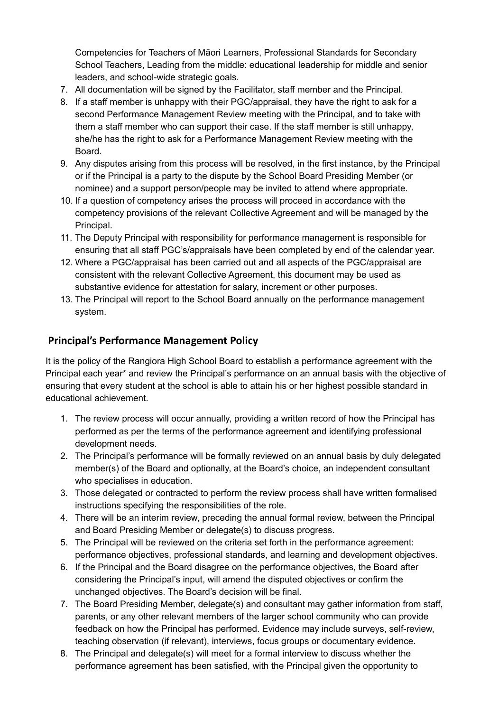Competencies for Teachers of Māori Learners, Professional Standards for Secondary School Teachers, Leading from the middle: educational leadership for middle and senior leaders, and school-wide strategic goals.

- 7. All documentation will be signed by the Facilitator, staff member and the Principal.
- 8. If a staff member is unhappy with their PGC/appraisal, they have the right to ask for a second Performance Management Review meeting with the Principal, and to take with them a staff member who can support their case. If the staff member is still unhappy, she/he has the right to ask for a Performance Management Review meeting with the Board.
- 9. Any disputes arising from this process will be resolved, in the first instance, by the Principal or if the Principal is a party to the dispute by the School Board Presiding Member (or nominee) and a support person/people may be invited to attend where appropriate.
- 10. If a question of competency arises the process will proceed in accordance with the competency provisions of the relevant Collective Agreement and will be managed by the Principal.
- 11. The Deputy Principal with responsibility for performance management is responsible for ensuring that all staff PGC's/appraisals have been completed by end of the calendar year.
- 12. Where a PGC/appraisal has been carried out and all aspects of the PGC/appraisal are consistent with the relevant Collective Agreement, this document may be used as substantive evidence for attestation for salary, increment or other purposes.
- 13. The Principal will report to the School Board annually on the performance management system.

### **Principal's Performance Management Policy**

It is the policy of the Rangiora High School Board to establish a performance agreement with the Principal each year\* and review the Principal's performance on an annual basis with the objective of ensuring that every student at the school is able to attain his or her highest possible standard in educational achievement.

- 1. The review process will occur annually, providing a written record of how the Principal has performed as per the terms of the performance agreement and identifying professional development needs.
- 2. The Principal's performance will be formally reviewed on an annual basis by duly delegated member(s) of the Board and optionally, at the Board's choice, an independent consultant who specialises in education.
- 3. Those delegated or contracted to perform the review process shall have written formalised instructions specifying the responsibilities of the role.
- 4. There will be an interim review, preceding the annual formal review, between the Principal and Board Presiding Member or delegate(s) to discuss progress.
- 5. The Principal will be reviewed on the criteria set forth in the performance agreement: performance objectives, professional standards, and learning and development objectives.
- 6. If the Principal and the Board disagree on the performance objectives, the Board after considering the Principal's input, will amend the disputed objectives or confirm the unchanged objectives. The Board's decision will be final.
- 7. The Board Presiding Member, delegate(s) and consultant may gather information from staff, parents, or any other relevant members of the larger school community who can provide feedback on how the Principal has performed. Evidence may include surveys, self-review, teaching observation (if relevant), interviews, focus groups or documentary evidence.
- 8. The Principal and delegate(s) will meet for a formal interview to discuss whether the performance agreement has been satisfied, with the Principal given the opportunity to